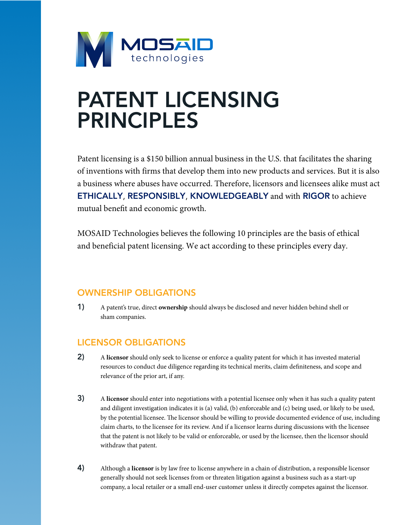

# PATENT LICENSING PRINCIPLES

Patent licensing is a \$150 billion annual business in the U.S. that facilitates the sharing of inventions with firms that develop them into new products and services. But it is also a business where abuses have occurred. Therefore, licensors and licensees alike must act ETHICALLY, RESPONSIBLY, KNOWLEDGEABLY and with RIGOR to achieve mutual benefit and economic growth.

MOSAID Technologies believes the following 10 principles are the basis of ethical and beneficial patent licensing. We act according to these principles every day.

### OWNERSHIP OBLIGATIONS

1) A patent's true, direct **ownership** should always be disclosed and never hidden behind shell or sham companies.

#### LICENSOR OBLIGATIONS

- 2) A **licensor** should only seek to license or enforce a quality patent for which it has invested material resources to conduct due diligence regarding its technical merits, claim definiteness, and scope and relevance of the prior art, if any.
- 3) A **licensor** should enter into negotiations with a potential licensee only when it has such a quality patent and diligent investigation indicates it is (a) valid, (b) enforceable and (c) being used, or likely to be used, by the potential licensee. The licensor should be willing to provide documented evidence of use, including claim charts, to the licensee for its review. And if a licensor learns during discussions with the licensee that the patent is not likely to be valid or enforceable, or used by the licensee, then the licensor should withdraw that patent.
- 4) Although a **licensor** is by law free to license anywhere in a chain of distribution, a responsible licensor generally should not seek licenses from or threaten litigation against a business such as a start-up company, a local retailer or a small end-user customer unless it directly competes against the licensor.